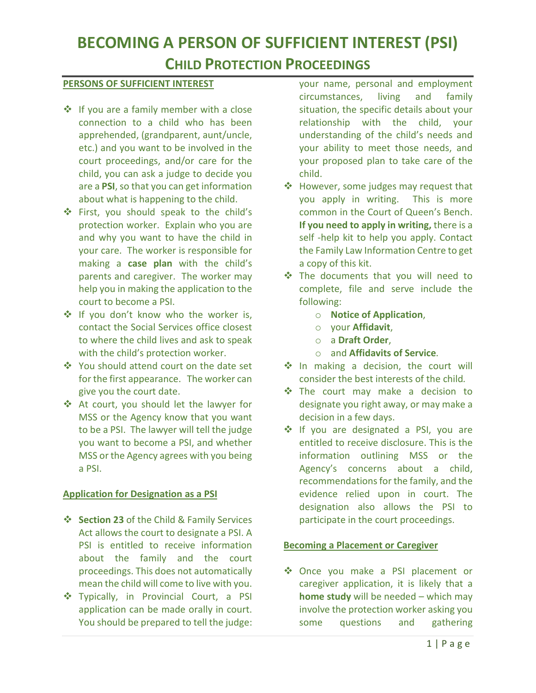# **BECOMING A PERSON OF SUFFICIENT INTEREST (PSI)**

## **CHILD PROTECTION PROCEEDINGS**

#### **PERSONS OF SUFFICIENT INTEREST**

- ❖ If you are a family member with a close connection to a child who has been apprehended, (grandparent, aunt/uncle, etc.) and you want to be involved in the court proceedings, and/or care for the child, you can ask a judge to decide you are a **PSI**, so that you can get information about what is happening to the child.
- First, you should speak to the child's protection worker. Explain who you are and why you want to have the child in your care. The worker is responsible for making a **case plan** with the child's parents and caregiver. The worker may help you in making the application to the court to become a PSI.
- ◆ If you don't know who the worker is, contact the Social Services office closest to where the child lives and ask to speak with the child's protection worker.
- You should attend court on the date set for the first appearance. The worker can give you the court date.
- At court, you should let the lawyer for MSS or the Agency know that you want to be a PSI. The lawyer will tell the judge you want to become a PSI, and whether MSS or the Agency agrees with you being a PSI.

#### **Application for Designation as a PSI**

- **Section 23** of the Child & Family Services Act allows the court to designate a PSI. A PSI is entitled to receive information about the family and the court proceedings. This does not automatically mean the child will come to live with you.
- \* Typically, in Provincial Court, a PSI application can be made orally in court. You should be prepared to tell the judge:

your name, personal and employment circumstances, living and family situation, the specific details about your relationship with the child, your understanding of the child's needs and your ability to meet those needs, and your proposed plan to take care of the child.

- ❖ However, some judges may request that you apply in writing. This is more common in the Court of Queen's Bench. **If you need to apply in writing,** there is a self -help kit to help you apply. Contact the Family Law Information Centre to get a copy of this kit.
- The documents that you will need to complete, file and serve include the following:
	- o **Notice of Application**,
	- o your **Affidavit**,
	- o a **Draft Order**,
	- o and **Affidavits of Service**.
- ◆ In making a decision, the court will consider the best interests of the child*.*
- The court may make a decision to designate you right away, or may make a decision in a few days.
- If you are designated a PSI, you are entitled to receive disclosure. This is the information outlining MSS or the Agency's concerns about a child, recommendations for the family, and the evidence relied upon in court. The designation also allows the PSI to participate in the court proceedings.

### **Becoming a Placement or Caregiver**

◆ Once you make a PSI placement or caregiver application, it is likely that a **home study** will be needed – which may involve the protection worker asking you some questions and gathering